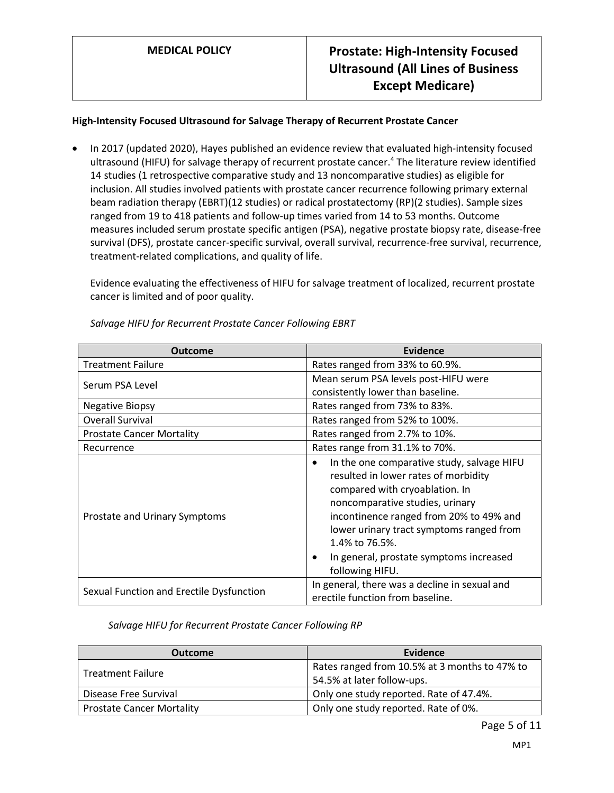### **High-Intensity Focused Ultrasound for Salvage Therapy of Recurrent Prostate Cancer**

 In 2017 (updated 2020), Hayes published an evidence review that evaluated high-intensity focused ultrasound (HIFU) for salvage therapy of recurrent prostate cancer.<sup>4</sup> The literature review identified 14 studies (1 retrospective comparative study and 13 noncomparative studies) as eligible for inclusion. All studies involved patients with prostate cancer recurrence following primary external beam radiation therapy (EBRT)(12 studies) or radical prostatectomy (RP)(2 studies). Sample sizes ranged from 19 to 418 patients and follow-up times varied from 14 to 53 months. Outcome measures included serum prostate specific antigen (PSA), negative prostate biopsy rate, disease-free survival (DFS), prostate cancer-specific survival, overall survival, recurrence-free survival, recurrence, treatment-related complications, and quality of life.

Evidence evaluating the effectiveness of HIFU for salvage treatment of localized, recurrent prostate cancer is limited and of poor quality.

| Outcome                                  | Evidence                                                                                                                                                                                                                                                                                                                            |
|------------------------------------------|-------------------------------------------------------------------------------------------------------------------------------------------------------------------------------------------------------------------------------------------------------------------------------------------------------------------------------------|
| <b>Treatment Failure</b>                 | Rates ranged from 33% to 60.9%.                                                                                                                                                                                                                                                                                                     |
| Serum PSA Level                          | Mean serum PSA levels post-HIFU were                                                                                                                                                                                                                                                                                                |
|                                          | consistently lower than baseline.                                                                                                                                                                                                                                                                                                   |
| <b>Negative Biopsy</b>                   | Rates ranged from 73% to 83%.                                                                                                                                                                                                                                                                                                       |
| <b>Overall Survival</b>                  | Rates ranged from 52% to 100%.                                                                                                                                                                                                                                                                                                      |
| <b>Prostate Cancer Mortality</b>         | Rates ranged from 2.7% to 10%.                                                                                                                                                                                                                                                                                                      |
| Recurrence                               | Rates range from 31.1% to 70%.                                                                                                                                                                                                                                                                                                      |
| Prostate and Urinary Symptoms            | In the one comparative study, salvage HIFU<br>٠<br>resulted in lower rates of morbidity<br>compared with cryoablation. In<br>noncomparative studies, urinary<br>incontinence ranged from 20% to 49% and<br>lower urinary tract symptoms ranged from<br>1.4% to 76.5%.<br>In general, prostate symptoms increased<br>following HIFU. |
| Sexual Function and Erectile Dysfunction | In general, there was a decline in sexual and<br>erectile function from baseline.                                                                                                                                                                                                                                                   |

*Salvage HIFU for Recurrent Prostate Cancer Following EBRT*

*Salvage HIFU for Recurrent Prostate Cancer Following RP*

| <b>Outcome</b>                   | Evidence                                      |
|----------------------------------|-----------------------------------------------|
| <b>Treatment Failure</b>         | Rates ranged from 10.5% at 3 months to 47% to |
|                                  | 54.5% at later follow-ups.                    |
| Disease Free Survival            | Only one study reported. Rate of 47.4%.       |
| <b>Prostate Cancer Mortality</b> | Only one study reported. Rate of 0%.          |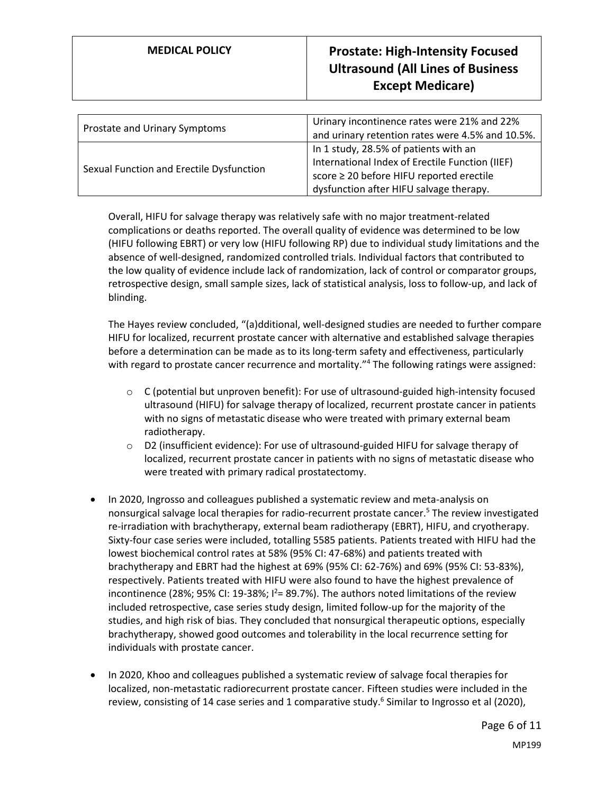| Prostate and Urinary Symptoms            | Urinary incontinence rates were 21% and 22%<br>and urinary retention rates were 4.5% and 10.5%.                                                                                 |
|------------------------------------------|---------------------------------------------------------------------------------------------------------------------------------------------------------------------------------|
| Sexual Function and Erectile Dysfunction | In 1 study, 28.5% of patients with an<br>International Index of Erectile Function (IIEF)<br>score ≥ 20 before HIFU reported erectile<br>dysfunction after HIFU salvage therapy. |

Overall, HIFU for salvage therapy was relatively safe with no major treatment-related complications or deaths reported. The overall quality of evidence was determined to be low (HIFU following EBRT) or very low (HIFU following RP) due to individual study limitations and the absence of well-designed, randomized controlled trials. Individual factors that contributed to the low quality of evidence include lack of randomization, lack of control or comparator groups, retrospective design, small sample sizes, lack of statistical analysis, loss to follow-up, and lack of blinding.

The Hayes review concluded, "(a)dditional, well-designed studies are needed to further compare HIFU for localized, recurrent prostate cancer with alternative and established salvage therapies before a determination can be made as to its long-term safety and effectiveness, particularly with regard to prostate cancer recurrence and mortality."<sup>4</sup> The following ratings were assigned:

- $\circ$  C (potential but unproven benefit): For use of ultrasound-guided high-intensity focused ultrasound (HIFU) for salvage therapy of localized, recurrent prostate cancer in patients with no signs of metastatic disease who were treated with primary external beam radiotherapy.
- o D2 (insufficient evidence): For use of ultrasound-guided HIFU for salvage therapy of localized, recurrent prostate cancer in patients with no signs of metastatic disease who were treated with primary radical prostatectomy.
- In 2020, Ingrosso and colleagues published a systematic review and meta-analysis on nonsurgical salvage local therapies for radio-recurrent prostate cancer.<sup>5</sup> The review investigated re-irradiation with brachytherapy, external beam radiotherapy (EBRT), HIFU, and cryotherapy. Sixty-four case series were included, totalling 5585 patients. Patients treated with HIFU had the lowest biochemical control rates at 58% (95% CI: 47-68%) and patients treated with brachytherapy and EBRT had the highest at 69% (95% CI: 62-76%) and 69% (95% CI: 53-83%), respectively. Patients treated with HIFU were also found to have the highest prevalence of incontinence (28%; 95% CI: 19-38%;  $I^2 = 89.7\%$ ). The authors noted limitations of the review included retrospective, case series study design, limited follow-up for the majority of the studies, and high risk of bias. They concluded that nonsurgical therapeutic options, especially brachytherapy, showed good outcomes and tolerability in the local recurrence setting for individuals with prostate cancer.
- In 2020, Khoo and colleagues published a systematic review of salvage focal therapies for localized, non-metastatic radiorecurrent prostate cancer. Fifteen studies were included in the review, consisting of 14 case series and 1 comparative study.<sup>6</sup> Similar to Ingrosso et al (2020),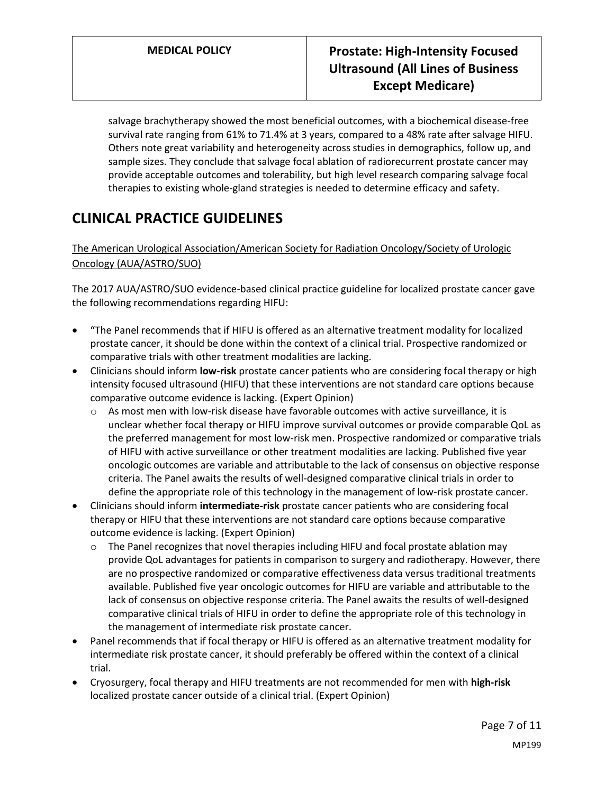## **MEDICAL POLICY Prostate: High-Intensity Focused Ultrasound (All Lines of Business Except Medicare)**

salvage brachytherapy showed the most beneficial outcomes, with a biochemical disease-free survival rate ranging from 61% to 71.4% at 3 years, compared to a 48% rate after salvage HIFU. Others note great variability and heterogeneity across studies in demographics, follow up, and sample sizes. They conclude that salvage focal ablation of radiorecurrent prostate cancer may provide acceptable outcomes and tolerability, but high level research comparing salvage focal therapies to existing whole-gland strategies is needed to determine efficacy and safety.

# **CLINICAL PRACTICE GUIDELINES**

### The American Urological Association/American Society for Radiation Oncology/Society of Urologic Oncology (AUA/ASTRO/SUO)

The 2017 AUA/ASTRO/SUO evidence-based clinical practice guideline for localized prostate cancer gave the following recommendations regarding HIFU:

- "The Panel recommends that if HIFU is offered as an alternative treatment modality for localized prostate cancer, it should be done within the context of a clinical trial. Prospective randomized or comparative trials with other treatment modalities are lacking.
- Clinicians should inform **low-risk** prostate cancer patients who are considering focal therapy or high intensity focused ultrasound (HIFU) that these interventions are not standard care options because comparative outcome evidence is lacking. (Expert Opinion)
	- $\circ$  As most men with low-risk disease have favorable outcomes with active surveillance, it is unclear whether focal therapy or HIFU improve survival outcomes or provide comparable QoL as the preferred management for most low-risk men. Prospective randomized or comparative trials of HIFU with active surveillance or other treatment modalities are lacking. Published five year oncologic outcomes are variable and attributable to the lack of consensus on objective response criteria. The Panel awaits the results of well-designed comparative clinical trials in order to define the appropriate role of this technology in the management of low-risk prostate cancer.
- Clinicians should inform **intermediate-risk** prostate cancer patients who are considering focal therapy or HIFU that these interventions are not standard care options because comparative outcome evidence is lacking. (Expert Opinion)
	- The Panel recognizes that novel therapies including HIFU and focal prostate ablation may provide QoL advantages for patients in comparison to surgery and radiotherapy. However, there are no prospective randomized or comparative effectiveness data versus traditional treatments available. Published five year oncologic outcomes for HIFU are variable and attributable to the lack of consensus on objective response criteria. The Panel awaits the results of well-designed comparative clinical trials of HIFU in order to define the appropriate role of this technology in the management of intermediate risk prostate cancer.
- Panel recommends that if focal therapy or HIFU is offered as an alternative treatment modality for intermediate risk prostate cancer, it should preferably be offered within the context of a clinical trial.
- Cryosurgery, focal therapy and HIFU treatments are not recommended for men with **high-risk** localized prostate cancer outside of a clinical trial. (Expert Opinion)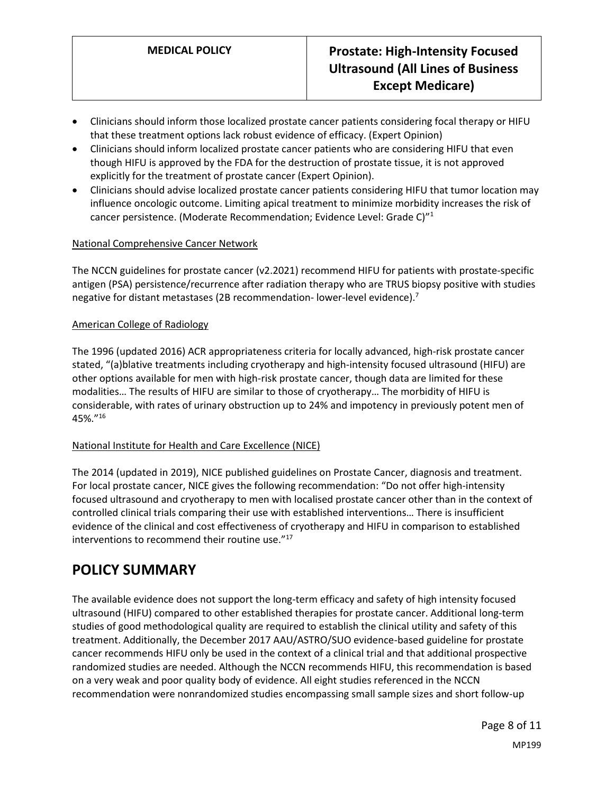- Clinicians should inform those localized prostate cancer patients considering focal therapy or HIFU that these treatment options lack robust evidence of efficacy. (Expert Opinion)
- Clinicians should inform localized prostate cancer patients who are considering HIFU that even though HIFU is approved by the FDA for the destruction of prostate tissue, it is not approved explicitly for the treatment of prostate cancer (Expert Opinion).
- Clinicians should advise localized prostate cancer patients considering HIFU that tumor location may influence oncologic outcome. Limiting apical treatment to minimize morbidity increases the risk of cancer persistence. (Moderate Recommendation; Evidence Level: Grade C)"<sup>1</sup>

#### National Comprehensive Cancer Network

The NCCN guidelines for prostate cancer (v2.2021) recommend HIFU for patients with prostate-specific antigen (PSA) persistence/recurrence after radiation therapy who are TRUS biopsy positive with studies negative for distant metastases (2B recommendation-lower-level evidence).<sup>7</sup>

#### American College of Radiology

The 1996 (updated 2016) ACR appropriateness criteria for locally advanced, high-risk prostate cancer stated, "(a)blative treatments including cryotherapy and high-intensity focused ultrasound (HIFU) are other options available for men with high-risk prostate cancer, though data are limited for these modalities… The results of HIFU are similar to those of cryotherapy… The morbidity of HIFU is considerable, with rates of urinary obstruction up to 24% and impotency in previously potent men of 45%."<sup>16</sup>

### National Institute for Health and Care Excellence (NICE)

The 2014 (updated in 2019), NICE published guidelines on Prostate Cancer, diagnosis and treatment. For local prostate cancer, NICE gives the following recommendation: "Do not offer high-intensity focused ultrasound and cryotherapy to men with localised prostate cancer other than in the context of controlled clinical trials comparing their use with established interventions… There is insufficient evidence of the clinical and cost effectiveness of cryotherapy and HIFU in comparison to established interventions to recommend their routine use." 17

### **POLICY SUMMARY**

The available evidence does not support the long-term efficacy and safety of high intensity focused ultrasound (HIFU) compared to other established therapies for prostate cancer. Additional long-term studies of good methodological quality are required to establish the clinical utility and safety of this treatment. Additionally, the December 2017 AAU/ASTRO/SUO evidence-based guideline for prostate cancer recommends HIFU only be used in the context of a clinical trial and that additional prospective randomized studies are needed. Although the NCCN recommends HIFU, this recommendation is based on a very weak and poor quality body of evidence. All eight studies referenced in the NCCN recommendation were nonrandomized studies encompassing small sample sizes and short follow-up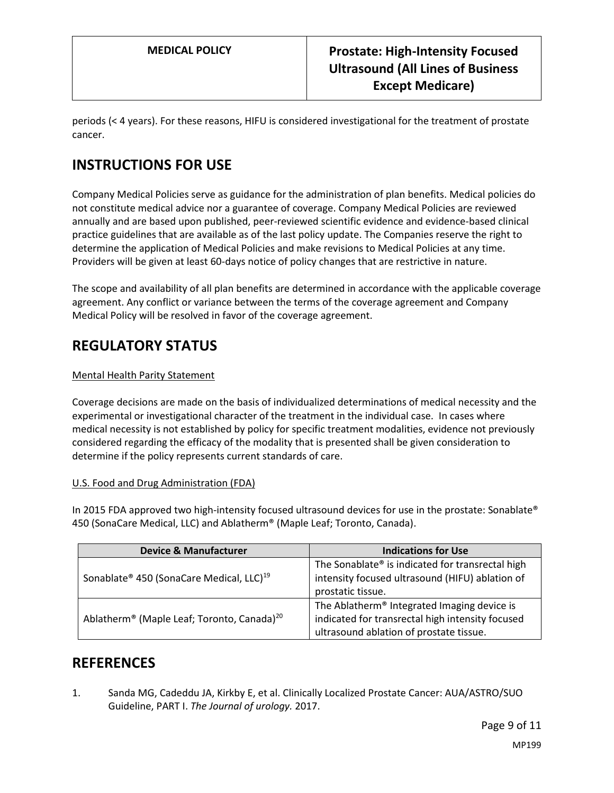periods (< 4 years). For these reasons, HIFU is considered investigational for the treatment of prostate cancer.

# **INSTRUCTIONS FOR USE**

Company Medical Policies serve as guidance for the administration of plan benefits. Medical policies do not constitute medical advice nor a guarantee of coverage. Company Medical Policies are reviewed annually and are based upon published, peer-reviewed scientific evidence and evidence-based clinical practice guidelines that are available as of the last policy update. The Companies reserve the right to determine the application of Medical Policies and make revisions to Medical Policies at any time. Providers will be given at least 60-days notice of policy changes that are restrictive in nature.

The scope and availability of all plan benefits are determined in accordance with the applicable coverage agreement. Any conflict or variance between the terms of the coverage agreement and Company Medical Policy will be resolved in favor of the coverage agreement.

## **REGULATORY STATUS**

### Mental Health Parity Statement

Coverage decisions are made on the basis of individualized determinations of medical necessity and the experimental or investigational character of the treatment in the individual case. In cases where medical necessity is not established by policy for specific treatment modalities, evidence not previously considered regarding the efficacy of the modality that is presented shall be given consideration to determine if the policy represents current standards of care.

### U.S. Food and Drug Administration (FDA)

In 2015 FDA approved two high-intensity focused ultrasound devices for use in the prostate: Sonablate® 450 (SonaCare Medical, LLC) and Ablatherm® (Maple Leaf; Toronto, Canada).

| <b>Device &amp; Manufacturer</b>                                   | <b>Indications for Use</b>                              |
|--------------------------------------------------------------------|---------------------------------------------------------|
| Sonablate® 450 (SonaCare Medical, LLC) <sup>19</sup>               | The Sonablate® is indicated for transrectal high        |
|                                                                    | intensity focused ultrasound (HIFU) ablation of         |
|                                                                    | prostatic tissue.                                       |
| Ablatherm <sup>®</sup> (Maple Leaf; Toronto, Canada) <sup>20</sup> | The Ablatherm <sup>®</sup> Integrated Imaging device is |
|                                                                    | indicated for transrectal high intensity focused        |
|                                                                    | ultrasound ablation of prostate tissue.                 |

### **REFERENCES**

1. Sanda MG, Cadeddu JA, Kirkby E, et al. Clinically Localized Prostate Cancer: AUA/ASTRO/SUO Guideline, PART I. *The Journal of urology.* 2017.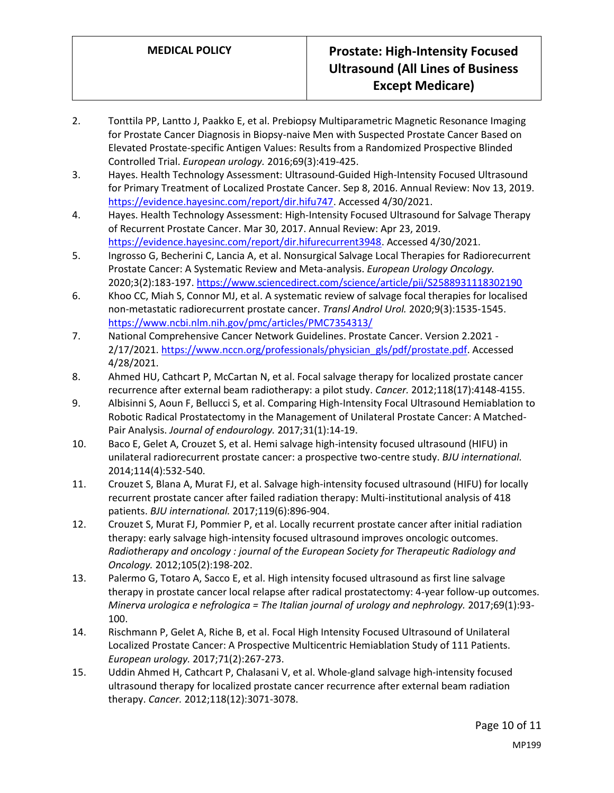- 2. Tonttila PP, Lantto J, Paakko E, et al. Prebiopsy Multiparametric Magnetic Resonance Imaging for Prostate Cancer Diagnosis in Biopsy-naive Men with Suspected Prostate Cancer Based on Elevated Prostate-specific Antigen Values: Results from a Randomized Prospective Blinded Controlled Trial. *European urology.* 2016;69(3):419-425.
- 3. Hayes. Health Technology Assessment: Ultrasound-Guided High-Intensity Focused Ultrasound for Primary Treatment of Localized Prostate Cancer. Sep 8, 2016. Annual Review: Nov 13, 2019. [https://evidence.hayesinc.com/report/dir.hifu747.](https://evidence.hayesinc.com/report/dir.hifu747) Accessed 4/30/2021.
- 4. Hayes. Health Technology Assessment: High-Intensity Focused Ultrasound for Salvage Therapy of Recurrent Prostate Cancer. Mar 30, 2017. Annual Review: Apr 23, 2019. [https://evidence.hayesinc.com/report/dir.hifurecurrent3948.](https://evidence.hayesinc.com/report/dir.hifurecurrent3948) Accessed 4/30/2021.
- 5. Ingrosso G, Becherini C, Lancia A, et al. Nonsurgical Salvage Local Therapies for Radiorecurrent Prostate Cancer: A Systematic Review and Meta-analysis. *European Urology Oncology.* 2020;3(2):183-197.<https://www.sciencedirect.com/science/article/pii/S2588931118302190>
- 6. Khoo CC, Miah S, Connor MJ, et al. A systematic review of salvage focal therapies for localised non-metastatic radiorecurrent prostate cancer. *Transl Androl Urol.* 2020;9(3):1535-1545. <https://www.ncbi.nlm.nih.gov/pmc/articles/PMC7354313/>
- 7. National Comprehensive Cancer Network Guidelines. Prostate Cancer. Version 2.2021 2/17/2021. [https://www.nccn.org/professionals/physician\\_gls/pdf/prostate.pdf.](https://www.nccn.org/professionals/physician_gls/pdf/prostate.pdf) Accessed 4/28/2021.
- 8. Ahmed HU, Cathcart P, McCartan N, et al. Focal salvage therapy for localized prostate cancer recurrence after external beam radiotherapy: a pilot study. *Cancer.* 2012;118(17):4148-4155.
- 9. Albisinni S, Aoun F, Bellucci S, et al. Comparing High-Intensity Focal Ultrasound Hemiablation to Robotic Radical Prostatectomy in the Management of Unilateral Prostate Cancer: A Matched-Pair Analysis. *Journal of endourology.* 2017;31(1):14-19.
- 10. Baco E, Gelet A, Crouzet S, et al. Hemi salvage high-intensity focused ultrasound (HIFU) in unilateral radiorecurrent prostate cancer: a prospective two-centre study. *BJU international.* 2014;114(4):532-540.
- 11. Crouzet S, Blana A, Murat FJ, et al. Salvage high-intensity focused ultrasound (HIFU) for locally recurrent prostate cancer after failed radiation therapy: Multi-institutional analysis of 418 patients. *BJU international.* 2017;119(6):896-904.
- 12. Crouzet S, Murat FJ, Pommier P, et al. Locally recurrent prostate cancer after initial radiation therapy: early salvage high-intensity focused ultrasound improves oncologic outcomes. *Radiotherapy and oncology : journal of the European Society for Therapeutic Radiology and Oncology.* 2012;105(2):198-202.
- 13. Palermo G, Totaro A, Sacco E, et al. High intensity focused ultrasound as first line salvage therapy in prostate cancer local relapse after radical prostatectomy: 4-year follow-up outcomes. *Minerva urologica e nefrologica = The Italian journal of urology and nephrology.* 2017;69(1):93- 100.
- 14. Rischmann P, Gelet A, Riche B, et al. Focal High Intensity Focused Ultrasound of Unilateral Localized Prostate Cancer: A Prospective Multicentric Hemiablation Study of 111 Patients. *European urology.* 2017;71(2):267-273.
- 15. Uddin Ahmed H, Cathcart P, Chalasani V, et al. Whole-gland salvage high-intensity focused ultrasound therapy for localized prostate cancer recurrence after external beam radiation therapy. *Cancer.* 2012;118(12):3071-3078.